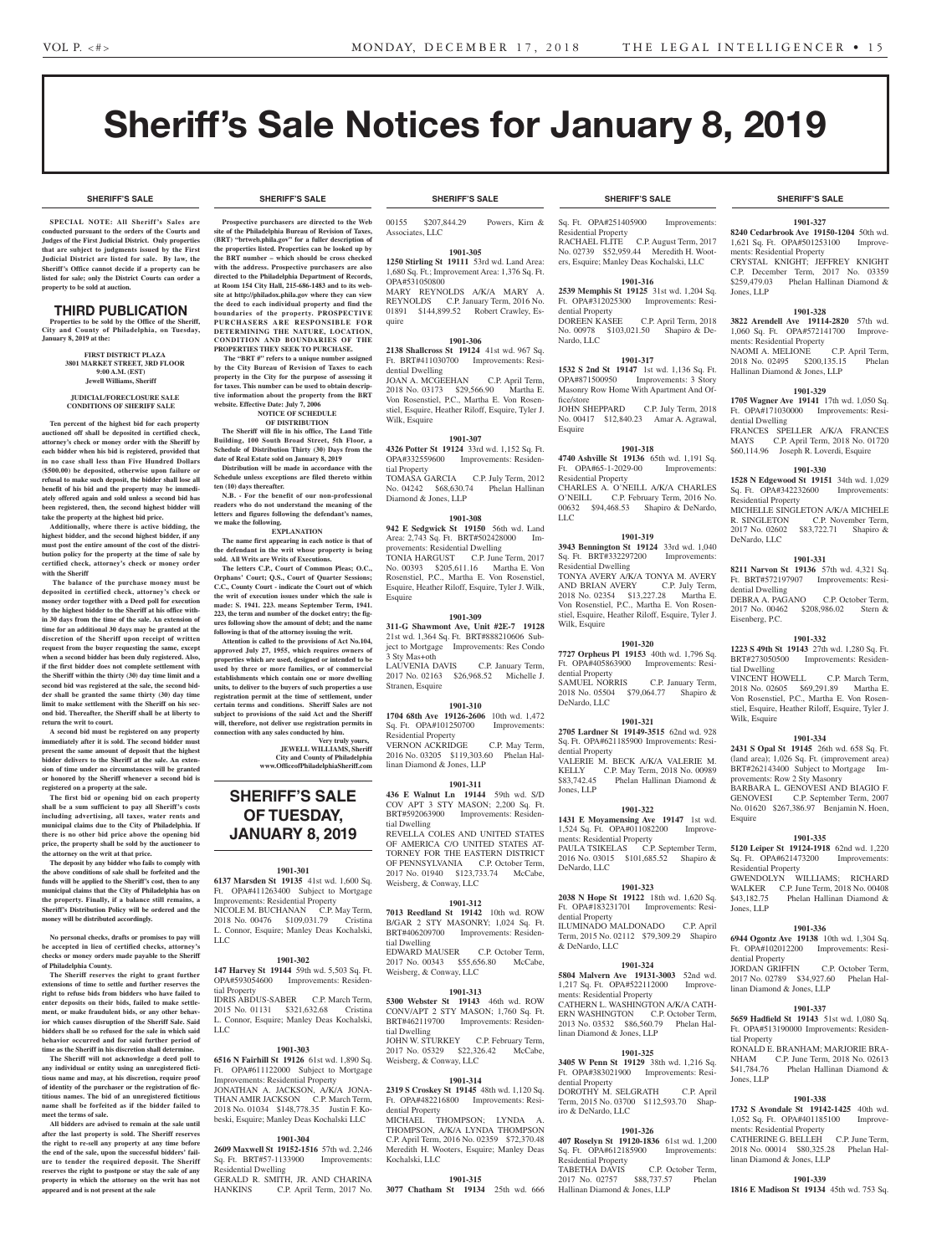# Sheriff's Sale Notices for January 8, 2019

**SHERIFF'S SALE SHERIFF'S SALE SHERIFF'S SALE SHERIFF'S SALE SHERIFF'S SALE**

**SPECIAL NOTE: All Sheriff 's Sales are conducted pursuant to the orders of the Courts and Judges of the First Judicial District. Only properties that are subject to judgments issued by the First Judicial District are listed for sale. By law, the Sheriff's Office cannot decide if a property can be listed for sale; only the District Courts can order a property to be sold at auction.** 

# THIRD PUBLICATION

**Properties to be sold by the Office of the Sheriff, City and County of Philadelphia, on Tuesday, January 8, 2019 at the:** 

> **FIRST DISTRICT PLAZA 3801 MARKET STREET, 3RD FLOOR 9:00 A.M. (EST) Jewell Williams, Sheriff**

#### **JUDICIAL/FORECLOSURE SALE CONDITIONS OF SHERIFF SALE**

**Ten percent of the highest bid for each property auctioned off shall be deposited in certified check, attorney's check or money order with the Sheriff by each bidder when his bid is registered, provided that in no case shall less than Five Hundred Dollars (\$500.00) be deposited, otherwise upon failure or refusal to make such deposit, the bidder shall lose all benefit of his bid and the property may be immediately offered again and sold unless a second bid has been registered, then, the second highest bidder will take the property at the highest bid price.**

**Additionally, where there is active bidding, the highest bidder, and the second highest bidder, if any must post the entire amount of the cost of the distribution policy for the property at the time of sale by certified check, attorney's check or money order with the Sheriff**

 **The balance of the purchase money must be deposited in certified check, attorney's check or money order together with a Deed poll for execution by the highest bidder to the Sheriff at his office within 30 days from the time of the sale. An extension of time for an additional 30 days may be granted at the discretion of the Sheriff upon receipt of written request from the buyer requesting the same, except when a second bidder has been duly registered. Also, if the first bidder does not complete settlement with the Sheriff within the thirty (30) day time limit and a second bid was registered at the sale, the second bidder shall be granted the same thirty (30) day time limit to make settlement with the Sheriff on his second bid. Thereafter, the Sheriff shall be at liberty to return the writ to court.**

**A second bid must be registered on any property immediately after it is sold. The second bidder must present the same amount of deposit that the highest bidder delivers to the Sheriff at the sale. An extension of time under no circumstances will be granted or honored by the Sheriff whenever a second bid is registered on a property at the sale.** 

**The first bid or opening bid on each property shall be a sum sufficient to pay all Sheriff's costs including advertising, all taxes, water rents and municipal claims due to the City of Philadelphia. If there is no other bid price above the opening bid price, the property shall be sold by the auctioneer to the attorney on the writ at that price.**

**The deposit by any bidder who fails to comply with the above conditions of sale shall be forfeited and the funds will be applied to the Sheriff's cost, then to any municipal claims that the City of Philadelphia has on the property. Finally, if a balance still remains, a Sheriff's Distribution Policy will be ordered and the money will be distributed accordingly.**

**No personal checks, drafts or promises to pay will be accepted in lieu of certified checks, attorney's checks or money orders made payable to the Sheriff of Philadelphia County.**

**The Sheriff reserves the right to grant further extensions of time to settle and further reserves the right to refuse bids from bidders who have failed to enter deposits on their bids, failed to make settlement, or make fraudulent bids, or any other behavior which causes disruption of the Sheriff Sale. Said bidders shall be so refused for the sale in which said behavior occurred and for said further period of time as the Sheriff in his discretion shall determine.**

**The Sheriff will not acknowledge a deed poll to any individual or entity using an unregistered fictitious name and may, at his discretion, require proof of identity of the purchaser or the registration of fictitious names. The bid of an unregistered fictitious name shall be forfeited as if the bidder failed to meet the terms of sale.**

**All bidders are advised to remain at the sale until after the last property is sold. The Sheriff reserves the right to re-sell any property at any time before the end of the sale, upon the successful bidders' failure to tender the required deposit. The Sheriff reserves the right to postpone or stay the sale of any property in which the attorney on the writ has not appeared and is not present at the sale**

**Prospective purchasers are directed to the Web site of the Philadelphia Bureau of Revision of Taxes, (BRT) "brtweb.phila.gov" for a fuller description of the properties listed. Properties can be looked up by the BRT number – which should be cross checked with the address. Prospective purchasers are also directed to the Philadelphia Department of Records, at Room 154 City Hall, 215-686-1483 and to its website at http://philadox.phila.gov where they can view the deed to each individual property and find the boundaries of the property. PROSPECTIVE PURCHASERS ARE RESPONSIBLE FOR DETERMINING THE NATURE, LOCATION, CONDITION AND BOUNDARIES OF THE PROPERTIES THEY SEEK TO PURCHASE.**

 **The "BRT #" refers to a unique number assigned by the City Bureau of Revision of Taxes to each property in the City for the purpose of assessing it for taxes. This number can be used to obtain descriptive information about the property from the BRT**  website. Effective Date: July 7, 200

#### **NOTICE OF SCHEDULE OF DISTRIBUTION**

**The Sheriff will file in his office, The Land Title Building, 100 South Broad Street, 5th Floor, a Schedule of Distribution Thirty (30) Days from the date of Real Estate sold on January 8, 2019**

**Distribution will be made in accordance with the Schedule unless exceptions are filed thereto within ten (10) days thereafter.**

**N.B. - For the benefit of our non-professional readers who do not understand the meaning of the letters and figures following the defendant's names, we make the following.**

**EXPLANATION**

**The name first appearing in each notice is that of the defendant in the writ whose property is being sold. All Writs are Writs of Executions.**

**The letters C.P., Court of Common Pleas; O.C., Orphans' Court; Q.S., Court of Quarter Sessions; C.C., County Court - indicate the Court out of which the writ of execution issues under which the sale is made: S. 1941. 223. means September Term, 1941. 223, the term and number of the docket entry; the figures following show the amount of debt; and the name following is that of the attorney issuing the writ.**

**Attention is called to the provisions of Act No.104, approved July 27, 1955, which requires owners of properties which are used, designed or intended to be used by three or more families, or of commercial establishments which contain one or more dwelling units, to deliver to the buyers of such properties a use registration permit at the time of settlement, under certain terms and conditions. Sheriff Sales are not subject to provisions of the said Act and the Sheriff will, therefore, not deliver use registration permits in connection with any sales conducted by him.**

#### **Very truly yours, JEWELL WILLIAMS, Sheriff**

**City and County of Philadelphia www.OfficeofPhiladelphiaSheriff.com**

# **SHERIFF'S SALE OF TUESDAY, JANUARY 8, 2019**

# **1901-301**

**6137 Marsden St 19135** 41st wd. 1,600 Sq. Ft. OPA#411263400 Subject to Mortgage Improvements: Residential Property NICOLE M. BUCHANAN C.P. May Term, 2018 No. 00476 \$109,031.79 Cristina L. Connor, Esquire; Manley Deas Kochalski, LLC

# **1901-302**

**147 Harvey St 19144** 59th wd. 5,503 Sq. Ft. OPA#593054600 Improvements: Residential Property

IDRIS ABDUS-SABER C.P. March Term, 2015 No. 01131 \$321,632.68 Cristina L. Connor, Esquire; Manley Deas Kochalski, LLC

# **1901-303**

**6516 N Fairhill St 19126** 61st wd. 1,890 Sq. Ft. OPA#611122000 Subject to Mortgage Improvements: Residential Property JONATHAN A. JACKSON, A/K/A JONA-THAN AMIR JACKSON C.P. March Term, 2018 No. 01034 \$148,778.35 Justin F. Kobeski, Esquire; Manley Deas Kochalski LLC

### **1901-304**

**2609 Maxwell St 19152-1516** 57th wd. 2,246 Sq. Ft. BRT#57-1133900 Improvements: Residential Dwelling

GERALD R. SMITH, JR. AND CHARINA<br>HANKINS C.P. April Term. 2017 No. C.P. April Term, 2017 No.

00155 \$207,844.29 Powers, Kirn & Associates, LLC

**1901-305 1250 Stirling St 19111** 53rd wd. Land Area: 1,680 Sq. Ft.; Improvement Area: 1,376 Sq. Ft. OPA#531050800

MARY REYNOLDS A/K/A MARY A. REYNOLDS C.P. January Term, 2016 No. 01891 \$144,899.52 Robert Crawley, Esquire

# **1901-306**

**2138 Shallcross St 19124** 41st wd. 967 Sq. Ft. BRT#411030700 Improvements: Residential Dwelling JOAN A. MCGEEHAN C.P. April Term,

2018 No. 03173 \$29,566.90 Martha E. Von Rosenstiel, P.C., Martha E. Von Rosenstiel, Esquire, Heather Riloff, Esquire, Tyler J. Wilk, Esquire

# **1901-307**

**4326 Potter St 19124** 33rd wd. 1,152 Sq. Ft. OPA#332559600 Improvements: Residential Property TOMASA GARCIA C.P. July Term, 2012<br>No. 04242 \$68,630.74 Phelan Hallinan No. 04242 \$68,630.74 Diamond & Jones, LLP

# **1901-308**

**942 E Sedgwick St 19150** 56th wd. Land Area: 2,743 Sq. Ft. BRT#502428000 Improvements: Residential Dwelling TONIA HARGUST C.P. June Term, 2017 No. 00393 \$205,611.16 Martha E. Von Rosenstiel, P.C., Martha E. Von Rosenstiel, Esquire, Heather Riloff, Esquire, Tyler J. Wilk, Esquire

# **1901-309**

**311-G Shawmont Ave, Unit #2E-7 19128**  21st wd. 1,364 Sq. Ft. BRT#888210606 Subject to Mortgage Improvements: Res Condo 3 Sty Mas+oth LAUVENIA DAVIS C.P. January Term, 2017 No. 02163 \$26,968.52 Michelle J.

# **1901-310**

Stranen, Esquire

**1704 68th Ave 19126-2606** 10th wd. 1,472 Sq. Ft. OPA#101250700 Improvements: Residential Property VERNON ACKRIDGE C.P. May Term, 2016 No. 03205 \$119,303.60 Phelan Hallinan Diamond & Jones, LLP

# **1901-311**

**436 E Walnut Ln 19144** 59th wd. S/D COV APT 3 STY MASON; 2,200 Sq. Ft. BRT#592063900 Improvements: Residential Dwelling REVELLA COLES AND UNITED STATES OF AMERICA C/O UNITED STATES AT-TORNEY FOR THE EASTERN DISTRICT OF PENNSYLVANIA C.P. October Term, 2017 No. 01940 \$123,733.74 McCabe, Weisberg, & Conway, LLC

# **1901-312**

**7013 Reedland St 19142** 10th wd. ROW B/GAR 2 STY MASONRY; 1,024 Sq. Ft. BRT#406209700 Improvements: Residential Dwelling EDWARD MAUSER C.P. October Term,<br>2017 No. 00343 \$55,656.80 McCabe, 2017 No. 00343 \$55,656.80 Weisberg, & Conway, LLC

# **1901-313**

**5300 Webster St 19143** 46th wd. ROW CONV/APT 2 STY MASON; 1,760 Sq. Ft. BRT#462119700 Improvements: Residential Dwelling JOHN W. STURKEY C.P. February Term 2017 No. 05329 \$22,326.42 McCabe, Weisberg, & Conway, LLC

# **1901-314**

**2319 S Croskey St 19145** 48th wd. 1,120 Sq. Ft. OPA#482216800 Improvements: Residential Property

MICHAEL THOMPSON; LYNDA THOMPSON, A/K/A LYNDA THOMPSON C.P. April Term, 2016 No. 02359 \$72,370.48 Meredith H. Wooters, Esquire; Manley Deas Kochalski, LLC

# **1901-315**

**3077 Chatham St 19134** 25th wd. 666

# **SHERIFF'S SALE SHERIFF'S SALE SHERIFF'S SALE SHERIFF'S SALE SHERIFF'S SALE**

Sq. Ft. OPA#251405900 Improvements: Residential Property RACHAEL FLITE C.P. August Term, 2017 No. 02739 \$52,959.44 Meredith H. Wooters, Esquire; Manley Deas Kochalski, LLC

# **1901-316**

**2539 Memphis St 19125** 31st wd. 1,204 Sq. Ft. OPA#312025300 Improvements: Residential Property<br>DOREEN KASEE C.P. April Term, 2018 No. 00978 \$103,021.50 Shapiro & De-

# **1901-317**

Nardo, LLC

Esquire

**1532 S 2nd St 19147** 1st wd. 1,136 Sq. Ft. OPA#871500950 Improvements: 3 Story Masonry Row Home With Apartment And Office/store JOHN SHEPPARD C.P. July Term, 2018 No. 00417 \$12,840.23 Amar A. Agrawal,

# **1901-318**

**4740 Ashville St 19136** 65th wd. 1,191 Sq. Ft. OPA#65-1-2029-00 Improvements: Residential Property CHARLES A. O'NEILL A/K/A CHARLES O'NEILL C.P. February Term, 2016 No. 00632 \$94,468.53 Shapiro & DeNardo, LLC

# **1901-319**

**3943 Bennington St 19124** 33rd wd. 1,040 Sq. Ft. BRT#332297200 Improvements: Residential Dwelling TONYA AVERY A/K/A TONYA M. AVERY<br>AND BRIAN AVERY C.P. July Term, AND BRIAN AVERY 2018 No. 02354 \$13,227.28 Martha E. Von Rosenstiel, P.C., Martha E. Von Rosenstiel, Esquire, Heather Riloff, Esquire, Tyler J. Wilk, Esquire

# **1901-320**

**7727 Orpheus Pl 19153** 40th wd. 1,796 Sq. Ft. OPA#405863900 Improvements: Residential Property SAMUEL NORRIS C.P. January Term, 2018 No. 05504 \$79,064.77 Shapiro &

# **1901-321**

DeNardo, LLC

**2705 Lardner St 19149-3515** 62nd wd. 928 Sq. Ft. OPA#621185900 Improvements: Residential Property VALERIE M. BECK A/K/A VALERIE M. KELLY C.P. May Term, 2018 No. 00989<br>\$83,742.45 Phelan Hallinan Diamond & Phelan Hallinan Diamond & Jones, LLP

# **1901-322**

**1431 E Moyamensing Ave 19147** 1st wd. 1,524 Sq. Ft. OPA#011082200 Improvements: Residential Property PAULA TSIKELAS C.P. September Term, 2016 No. 03015 \$101,685.52 Shapiro & DeNardo, LLC

## **1901-323 2038 N Hope St 19122** 18th wd. 1,620 Sq. Ft. OPA#183231701 Improvements: Residential Property

ILUMINADO MALDONADO C.P. April Term, 2015 No. 02112 \$79,309.29 Shapiro & DeNardo, LLC

# **1901-324**

**5804 Malvern Ave 19131-3003** 52nd wd. 1,217 Sq. Ft. OPA#522112000 ments: Residential Property CATHERN L. WASHINGTON A/K/A CATH-ERN WASHINGTON C.P. October Term, 2013 No. 03532 \$86,560.79 Phelan Hallinan Diamond & Jones, LLP

# **1901-325**

**3405 W Penn St 19129** 38th wd. 1,216 Sq. Ft. OPA#383021900 Improvements: Residential Property DOROTHY M. SELGRATH C.P. April Term, 2015 No. 03700 \$112,593.70 Shapiro & DeNardo, LLC

# **1901-326**

**407 Roselyn St 19120-1836** 61st wd. 1,200 Sq. Ft. OPA#612185900 Improvements: Residential Property TABETHA DAVIS C.P. October Term,<br>2017 No. 02757 \$88,737.57 Phelan 2017 No. 02757 \$88,737.57 Phelan Hallinan Diamond & Jones, LLP

# **1901-327**

**8240 Cedarbrook Ave 19150-1204** 50th wd. 1,621 Sq. Ft. OPA#501253100 Improvements: Residential Property CRYSTAL KNIGHT; JEFFREY KNIGHT C.P. December Term, 2017 No. 03359 \$259,479.03 Phelan Hallinan Diamond & Jones, LLP

# **1901-328**

**3822 Arendell Ave 19114-2820** 57th wd. 1,060 Sq. Ft. OPA#572141700 Improvements: Residential Property NAOMI A. MELIONE C.P. April Term,<br>2018 No. 02495 \$200.135.15 Phelan 2018 No. 02495 \$200,135.15 Hallinan Diamond & Jones, LLP

# **1901-329**

Sq. Ft. OPA#342232600 Residential Property

DeNardo, LLC

Eisenberg, P.C.

tial Dwelling

Wilk, Esquire

Esquire

Jones, LLP

tial Property

Jones, LLP

Residential Property

dential Property<br>JORDAN GRIFFIN

linan Diamond & Jones, LLP

ments: Residential Property

linan Diamond & Jones, LLP

Ft. BRT#572197907 dential Dwelling

**1705 Wagner Ave 19141** 17th wd. 1,050 Sq. Ft. OPA#171030000 Improvements: Residential Dwelling FRANCES SPELLER A/K/A FRANCES

MAYS C.P. April Term, 2018 No. 01720 \$60,114.96 Joseph R. Loverdi, Esquire **1901-330 1528 N Edgewood St 19151** 34th wd. 1,029<br>Sq. Ft. OPA#342232600 Improvements:

MICHELLE SINGLETON A/K/A MICHELE<br>R. SINGLETON C.P. November Term, R. SINGLETON C.P. November Term,<br>2017 No. 02602 \$83,722.71 Shapiro &

**1901-331 8211 Narvon St 19136** 57th wd. 4,321 Sq.

DEBRA A. PAGANO C.P. October Term, 2017 No. 00462 \$208,986.02 Stern &

**1901-332 1223 S 49th St 19143** 27th wd. 1,280 Sq. Ft. BRT#273050500 Improvements: Residen-

VINCENT HOWELL C.P. March Term, 2018 No. 02605 \$69,291.89 Martha E. Von Rosenstiel, P.C., Martha E. Von Rosenstiel, Esquire, Heather Riloff, Esquire, Tyler J.

**1901-334 2431 S Opal St 19145** 26th wd. 658 Sq. Ft. (land area); 1,026 Sq. Ft. (improvement area) BRT#262143400 Subject to Mortgage Im-

BARBARA L. GENOVESI AND BIAGIO F.<br>GENOVESI C.P. September Term, 2007

No. 01620 \$267,386.97 Benjamin N. Hoen,

**1901-335 5120 Leiper St 19124-1918** 62nd wd. 1,220 Sq. Ft. OPA#621473200 Improvements:

GWENDOLYN WILLIAMS; RICHARD WALKER C.P. June Term, 2018 No. 00408<br>\$43,182.75 Phelan Hallinan Diamond &

**1901-336 6944 Ogontz Ave 19138** 10th wd. 1,304 Sq. Ft. OPA#102012200 Improvements: Resi-

2017 No. 02789 \$34,927.60 Phelan Hal-

**1901-337 5659 Hadfield St 19143** 51st wd. 1,080 Sq. Ft. OPA#513190000 Improvements: Residen-

RONALD E. BRANHAM; MARJORIE BRA-NHAM C.P. June Term, 2018 No. 02613 \$41,784.76 Phelan Hallinan Diamond &

**1901-338 1732 S Avondale St 19142-1425** 40th wd. 1,052 Sq. Ft. OPA#401185100 Improve-

CATHERINE G. BELLEH C.P. June Term, 2018 No. 00014 \$80,325.28 Phelan Hal-

**1901-339 1816 E Madison St 19134** 45th wd. 753 Sq.

C.P. September Term, 2007

Phelan Hallinan Diamond &

C.P. October Term,

provements: Row 2 Sty Masonry

\$83,722.71 Shapiro &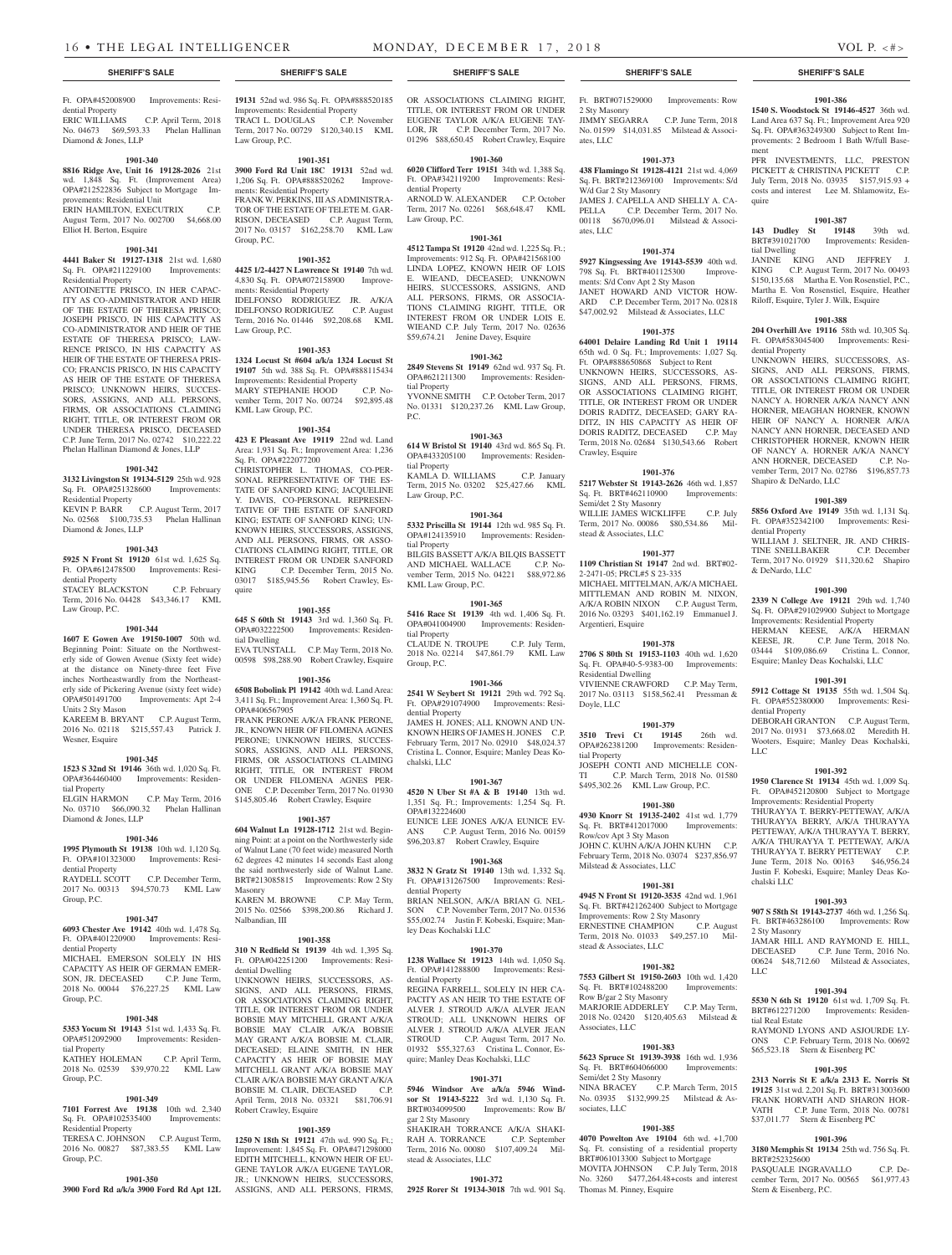### Ft. OPA#452008900 Improvements: Residential Property<br>ERIC WILLIAMS C.P. April Term, 2018

No. 04673 \$69,593.33 Phelan Hallinan Diamond & Jones, LLP

# **1901-340**

**8816 Ridge Ave, Unit 16 19128-2026** 21st wd. 1,848 Sq. Ft. (Improvement Area) OPA#212522836 Subject to Mortgage Improvements: Residential Unit ERIN HAMILTON, EXECUTRIX C.P. August Term, 2017 No. 002700 \$4,668.00

# **1901-341**

Elliot H. Berton, Esquire

**4441 Baker St 19127-1318** 21st wd. 1,680 Sq. Ft. OPA#211229100 Improvements: Residential Property

ANTOINETTE PRISCO, IN HER CAPAC-ITY AS CO-ADMINISTRATOR AND HEIR OF THE ESTATE OF THERESA PRISCO; JOSEPH PRISCO, IN HIS CAPACITY AS CO-ADMINISTRATOR AND HEIR OF THE ESTATE OF THERESA PRISCO; LAW-RENCE PRISCO, IN HIS CAPACITY AS HEIR OF THE ESTATE OF THERESA PRIS-CO; FRANCIS PRISCO, IN HIS CAPACITY AS HEIR OF THE ESTATE OF THERESA PRISCO; UNKNOWN HEIRS, SUCCES-SORS, ASSIGNS, AND ALL PERSONS, FIRMS, OR ASSOCIATIONS CLAIMING RIGHT, TITLE, OR INTEREST FROM OR UNDER THERESA PRISCO, DECEASED C.P. June Term, 2017 No. 02742 \$10,222.22 Phelan Hallinan Diamond & Jones, LLP

# **1901-342**

**3132 Livingston St 19134-5129** 25th wd. 928 Sq. Ft. OPA#251328600 Improvements: Residential Property KEVIN P. BARR C.P. August Term, 2017

# No. 02568 \$100,735.53 Phelan Hallinan Diamond & Jones, LLP **1901-343**

**5925 N Front St 19120** 61st wd. 1,625 Sq. Ft. OPA#612478500 Improvements: Residential Property STACEY BLACKSTON C.P. February Term, 2016 No. 04428 \$43,346.17 KML

# Law Group, P.C. **1901-344**

**1607 E Gowen Ave 19150-1007** 50th wd. Beginning Point: Situate on the Northwesterly side of Gowen Avenue (Sixty feet wide) at the distance on Ninety-three feet Five inches Northeastwardly from the Northeasterly side of Pickering Avenue (sixty feet wide) OPA#501491700 Improvements: Apt 2-4 Units 2 Sty Mason KAREEM B. BRYANT C.P. August Term,

2016 No. 02118 \$215,557.43 Patrick J. Wesner, Esquire

# **1901-345**

**1523 S 32nd St 19146** 36th wd. 1,020 Sq. Ft. OPA#364460400 Improvements: Residential Property

ELGIN HARMON C.P. May Term, 2016 No. 03710 \$66,090.32 Phelan Hallinan Diamond & Jones, LLP

#### **1901-346**

**1995 Plymouth St 19138** 10th wd. 1,120 Sq. Ft. OPA#101323000 Improvements: Residential Property RAYDELL SCOTT C.P. December Term,

2017 No. 00313 \$94,570.73 KML Law Group, P.C.

# **1901-347**

**6093 Chester Ave 19142** 40th wd. 1,478 Sq. Ft. OPA#401220900 Improvements: Residential Property MICHAEL EMERSON SOLELY IN HIS

CAPACITY AS HEIR OF GERMAN EMER-SON, JR. DECEASED C.P. June Term, 2018 No. 00044 \$76,227.25 KML Law Group, P.C.

# **1901-348**

**5353 Yocum St 19143** 51st wd. 1,433 Sq. Ft. OPA#512092900 Improvements: Residential Property KATHEY HOLEMAN C.P. April Term,

2018 No. 02539 \$39,970.22 KML Law Group, P.C.

# **1901-349**

**7101 Forrest Ave 19138** 10th wd. 2,340 Sq. Ft. OPA#102535400 Improvements: Residential Property

# TERESA C. JOHNSON C.P. August Term, 2016 No. 00827 \$87,383.55 KML Law Group, P.C.

**1901-350**

**3900 Ford Rd a/k/a 3900 Ford Rd Apt 12L**  ASSIGNS, AND ALL PERSONS, FIRMS,

**19131** 52nd wd. 986 Sq. Ft. OPA#888520185 Improvements: Residential Property<br>
TRACI L. DOUGLAS C.P. November TRACI L. DOUGLAS Term, 2017 No. 00729 \$120,340.15 KML Law Group, P.C.

**1901-351**

**3900 Ford Rd Unit 18C 19131** 52nd wd. 1,206 Sq. Ft. OPA#888520262 Improvements: Residential Property FRANK W. PERKINS, III AS ADMINISTRA-

TOR OF THE ESTATE OF TELETE M. GAR-RISON, DECEASED C.P. August Term, 2017 No. 03157 \$162,258.70 KML Law Group, P.C.

# **1901-352**

**4425 1/2-4427 N Lawrence St 19140** 7th wd. 4,830 Sq. Ft. OPA#072158900 Improvements: Residential Property IDELFONSO RODRIGUEZ JR. A/K/A

IDELFONSO RODRIGUEZ C.P. August Term, 2016 No. 01446 \$92,208.68 KML Law Group, P.C.

# **1901-353**

**1324 Locust St #604 a/k/a 1324 Locust St 19107** 5th wd. 388 Sq. Ft. OPA#888115434 Improvements: Residential Property MARY STEPHANIE HOOD C.P. November Term, 2017 No. 00724 \$92,895.48 KML Law Group, P.C.

#### **1901-354**

**423 E Pleasant Ave 19119** 22nd wd. Land Area: 1,931 Sq. Ft.; Improvement Area: 1,236 Sq. Ft. OPA#222077200 CHRISTOPHER L. THOMAS, CO-PER-SONAL REPRESENTATIVE OF THE ES-TATE OF SANFORD KING; JACQUELINE Y. DAVIS, CO-PERSONAL REPRESEN-TATIVE OF THE ESTATE OF SANFORD KING; ESTATE OF SANFORD KING; UN-KNOWN HEIRS, SUCCESSORS, ASSIGNS, AND ALL PERSONS, FIRMS, OR ASSO-CIATIONS CLAIMING RIGHT, TITLE, OR INTEREST FROM OR UNDER SANFORD KING C.P. December Term, 2015 No. 03017 \$185,945.56 Robert Crawley, Es-

# **1901-355**

quire

**645 S 60th St 19143** 3rd wd. 1,360 Sq. Ft. OPA#032222500 Improvements: Residential Dwelling EVA TUNSTALL C.P. May Term, 2018 No. 00598 \$98,288.90 Robert Crawley, Esquire

# **1901-356**

**6508 Bobolink Pl 19142** 40th wd. Land Area: 3,411 Sq. Ft.; Improvement Area: 1,360 Sq. Ft. OPA#406567905

FRANK PERONE A/K/A FRANK PERONE, JR., KNOWN HEIR OF FILOMENA AGNES PERONE; UNKNOWN HEIRS, SUCCES-SORS, ASSIGNS, AND ALL PERSONS, FIRMS, OR ASSOCIATIONS CLAIMING RIGHT, TITLE, OR INTEREST FROM OR UNDER FILOMENA AGNES PER-ONE C.P. December Term, 2017 No. 01930 \$145,805.46 Robert Crawley, Esquire

#### **1901-357**

**604 Walnut Ln 19128-1712** 21st wd. Beginning Point: at a point on the Northwesterly side of Walnut Lane (70 feet wide) measured North 62 degrees 42 minutes 14 seconds East along the said northwesterly side of Walnut Lane. BRT#213085815 Improvements: Row 2 Sty Masonry KAREN M. BROWNE C.P. May Term, 2015 No. 02566 \$398,200.86 Richard J. Nalbandian, III

#### **1901-358**

**310 N Redfield St 19139** 4th wd. 1,395 Sq. Ft. OPA#042251200 Improvements: Residential Dwelling

UNKNOWN HEIRS, SUCCESSORS, AS-SIGNS, AND ALL PERSONS, FIRMS, OR ASSOCIATIONS CLAIMING RIGHT, TITLE, OR INTEREST FROM OR UNDER BOBSIE MAY MITCHELL GRANT A/K/A BOBSIE MAY CLAIR A/K/A BOBSIE MAY GRANT A/K/A BOBSIE M. CLAIR, DECEASED; ELAINE SMITH, IN HER CAPACITY AS HEIR OF BOBSIE MAY MITCHELL GRANT A/K/A BOBSIE MAY CLAIR A/K/A BOBSIE MAY GRANT A/K/A BOBSIE M. CLAIR, DECEASED C.P. April Term, 2018 No. 03321 \$81,706.91 Robert Crawley, Esquire

#### **1901-359**

**1250 N 18th St 19121** 47th wd. 990 Sq. Ft.; Improvement: 1,845 Sq. Ft. OPA#471298000 EDITH MITCHELL, KNOWN HEIR OF EU-GENE TAYLOR A/K/A EUGENE TAYLOR, JR.; UNKNOWN HEIRS, SUCCESSORS,

# **SHERIFF'S SALE SHERIFF'S SALE SHERIFF'S SALE SHERIFF'S SALE SHERIFF'S SALE**

OR ASSOCIATIONS CLAIMING RIGHT, TITLE, OR INTEREST FROM OR UNDER EUGENE TAYLOR A/K/A EUGENE TAY-LOR, JR C.P. December Term, 2017 No. 01296 \$88,650.45 Robert Crawley, Esquire

# **1901-360**

**6020 Clifford Terr 19151** 34th wd. 1,388 Sq. Ft. OPA#342119200 Improvements: Residential Property

ARNOLD W. ALEXANDER C.P. October Term, 2017 No. 02261 \$68,648.47 KML Law Group, P.C.

# **1901-361**

**4512 Tampa St 19120** 42nd wd. 1,225 Sq. Ft.; Improvements: 912 Sq. Ft. OPA#421568100 LINDA LOPEZ, KNOWN HEIR OF LOIS E. WIEAND, DECEASED; UNKNOWN HEIRS, SUCCESSORS, ASSIGNS, AND ALL PERSONS, FIRMS, OR ASSOCIA-TIONS CLAIMING RIGHT, TITLE, OR INTEREST FROM OR UNDER LOIS E. WIEAND C.P. July Term, 2017 No. 02636 \$59,674.21 Jenine Davey, Esquire

# **1901-362**

**2849 Stevens St 19149** 62nd wd. 937 Sq. Ft. OPA#621211300 Improvements: Residential Property YVONNE SMITH C.P. October Term, 2017 No. 01331 \$120,237.26 KML Law Group, P.C.

# **1901-363**

**614 W Bristol St 19140** 43rd wd. 865 Sq. Ft. OPA#433205100 Improvements: Residential Property KAMLA D. WILLIAMS C.P. January

Term, 2015 No. 03202 \$25,427.66 KML Law Group, P.C.

# **1901-364**

**5332 Priscilla St 19144** 12th wd. 985 Sq. Ft. OPA#124135910 Improvements: Residential Property

BILGIS BASSETT A/K/A BILQIS BASSETT AND MICHAEL WALLACE C.P. November Term, 2015 No. 04221 \$88,972.86 KML Law Group, P.C.

# **1901-365**

**5416 Race St 19139** 4th wd. 1,406 Sq. Ft. OPA#041004900 Improvements: Residential Property CLAUDE N. TROUPE C.P. July Term, 2018 No. 02214 \$47,861.79 KML Law Group, P.C.

# **1901-366**

**2541 W Seybert St 19121** 29th wd. 792 Sq. Ft. OPA#291074900 Improvements: Residential Property

JAMES H. JONES; ALL KNOWN AND UN-KNOWN HEIRS OF JAMES H. JONES C.P. February Term, 2017 No. 02910 \$48,024.37 Cristina L. Connor, Esquire; Manley Deas Kochalski, LLC

# **1901-367**

**4520 N Uber St #A & B 19140** 13th wd. 1,351 Sq. Ft.; Improvements: 1,254 Sq. Ft. OPA#132224600 EUNICE LEE JONES A/K/A EUNICE EV-ANS C.P. August Term, 2016 No. 00159 \$96,203.87 Robert Crawley, Esquire

# **1901-368**

**3832 N Gratz St 19140** 13th wd. 1,332 Sq. Ft. OPA#131267500 Improvements: Residential Property BRIAN NELSON, A/K/A BRIAN G. NEL-SON C.P. November Term, 2017 No. 01536 \$55,002.74 Justin F. Kobeski, Esquire; Manley Deas Kochalski LLC

#### **1901-370**

**1238 Wallace St 19123** 14th wd. 1,050 Sq. Ft. OPA#141288800 Improvements: Residential Property REGINA FARRELL, SOLELY IN HER CA-PACITY AS AN HEIR TO THE ESTATE OF ALVER J. STROUD A/K/A ALVER JEAN STROUD; ALL UNKNOWN HEIRS OF ALVER J. STROUD A/K/A ALVER JEAN

STROUD C.P. August Term, 2017 No. 01932 \$55,327.63 Cristina L. Connor, Esquire; Manley Deas Kochalski, LLC

# **1901-371**

**5946 Windsor Ave a/k/a 5946 Windsor St 19143-5222** 3rd wd. 1,130 Sq. Ft. BRT#034099500 Improvements: Row B/ gar 2 Sty Masonry

SHAKIRAH TORRANCE A/K/A SHAKI-RAH A. TORRANCE C.P. September Term, 2016 No. 00080 \$107,409.24 Milstead & Associates, LLC

# **1901-372**

**2925 Rorer St 19134-3018** 7th wd. 901 Sq.

Ft. BRT#071529000 Improvements: Row 2 Sty Masonry JIMMY SEGARRA C.P. June Term, 2018 No. 01599 \$14,031.85 Milstead & Associates, LLC

**1901-386 1540 S. Woodstock St 19146-4527** 36th wd. Land Area 637 Sq. Ft.; Improvement Area 920 Sq. Ft. OPA#363249300 Subject to Rent Improvements: 2 Bedroom 1 Bath W/full Base-

PFR INVESTMENTS, LLC, PRESTON PICKETT & CHRISTINA PICKETT C.P. July Term, 2018 No. 03935 \$157,915.93 + costs and interest Lee M. Shlamowitz, Es-

**1901-387 143 Dudley St 19148** 39th wd. BRT#391021700 Improvements: Residen-

JANINE KING AND JEFFREY J. KING C.P. August Term, 2017 No. 00493 \$150,135.68 Martha E. Von Rosenstiel, P.C., Martha E. Von Rosenstiel, Esquire, Heather Riloff, Esquire, Tyler J. Wilk, Esquire

**1901-388 204 Overhill Ave 19116** 58th wd. 10,305 Sq. Ft. OPA#583045400 Improvements: Resi-

UNKNOWN HEIRS, SUCCESSORS, AS-SIGNS, AND ALL PERSONS, FIRMS, OR ASSOCIATIONS CLAIMING RIGHT, TITLE, OR INTEREST FROM OR UNDER NANCY A. HORNER A/K/A NANCY ANN HORNER, MEAGHAN HORNER, KNOWN HEIR OF NANCY A. HORNER A/K/A NANCY ANN HORNER, DECEASED AND CHRISTOPHER HORNER, KNOWN HEIR OF NANCY A. HORNER A/K/A NANCY<br>ANN HORNER DECEASED CP No-ANN HORNER, DECEASED

vember Term, 2017 No. 02786 \$196,857.73

**1901-389 5856 Oxford Ave 19149** 35th wd. 1,131 Sq. Ft. OPA#352342100 Improvements: Resi-

WILLIAM J. SELTNER, JR. AND CHRIS-TINE SNELLBAKER C.P. December Term, 2017 No. 01929 \$11,320.62 Shapiro

**1901-390 2339 N College Ave 19121** 29th wd. 1,740 Sq. Ft. OPA#291029900 Subject to Mortgage Improvements: Residential Property HERMAN KEESE, A/K/A HERMAN KEESE, JR. C.P. June Term, 2018 No. 03444 \$109,086.69 Cristina L. Connor, Esquire; Manley Deas Kochalski, LLC **1901-391 5912 Cottage St 19135** 55th wd. 1,504 Sq. Ft. OPA#552380000 Improvements: Resi-

DEBORAH GRANTON C.P. August Term, 2017 No. 01931 \$73,668.02 Meredith H. Wooters, Esquire; Manley Deas Kochalski,

**1901-392 1950 Clarence St 19134** 45th wd. 1,009 Sq. Ft. OPA#452120800 Subject to Mortgage Improvements: Residential Property THURAYYA T. BERRY-PETTEWAY, A/K/A THURAYYA BERRY, A/K/A THURAYYA PETTEWAY, A/K/A THURAYYA T. BERRY, A/K/A THURAYYA T. PETTEWAY, A/K/A THURAYYA T. BERRY PETTEWAY C.P. June Term, 2018 No. 00163 \$46,956.24 Justin F. Kobeski, Esquire; Manley Deas Ko-

**1901-393 907 S 58th St 19143-2737** 46th wd. 1,256 Sq. Ft. BRT#463286100 Improvements: Row

JAMAR HILL AND RAYMOND E. HILL, DECEASED C.P. June Term, 2016 No. 00624 \$48,712.60 Milstead & Associates,

**1901-394 5530 N 6th St 19120** 61st wd. 1,709 Sq. Ft. BRT#612271200 Improvements: Residen-

RAYMOND LYONS AND ASJOURDE LY-ONS C.P. February Term, 2018 No. 00692 \$65,523.18 Stern & Eisenberg PC

**1901-395 2313 Norris St E a/k/a 2313 E. Norris St 19125** 31st wd. 2,201 Sq. Ft. BRT#313003600 FRANK HORVATH AND SHARON HOR-VATH C.P. June Term, 2018 No. 00781 \$37,011.77 Stern & Eisenberg PC

**1901-396 3180 Memphis St 19134** 25th wd. 756 Sq. Ft.

PASQUALE INGRAVALLO C.P. December Term, 2017 No. 00565 \$61,977.43

Shapiro & DeNardo, LLC

dential Property

& DeNardo, LLC

dential Property

chalski LLC

2 Sty Masonry

tial Real Estate

BRT#252325600

Stern & Eisenberg, P.C.

LLC

LLC

ment

quire

tial Dwelling

dential Property

# **1901-373**

**438 Flamingo St 19128-4121** 21st wd. 4,069 Sq. Ft. BRT#212369100 Improvements: S/d W/d Gar 2 Sty Masonry JAMES J. CAPELLA AND SHELLY A. CA-PELLA C.P. December Term, 2017 No. 00118 \$670,096.01 Milstead & Associates, LLC

# **1901-374**

**5927 Kingsessing Ave 19143-5539** 40th wd. 798 Sq. Ft. BRT#401125300 Improvements: S/d Conv Apt 2 Sty Mason JANET HOWARD AND VICTOR HOW-ARD C.P. December Term, 2017 No. 02818 \$47,002.92 Milstead & Associates, LLC

# **1901-375**

**64001 Delaire Landing Rd Unit 1 19114**  65th wd. 0 Sq. Ft.; Improvements: 1,027 Sq. Ft. OPA#888650868 Subject to Rent UNKNOWN HEIRS, SUCCESSORS, AS-SIGNS, AND ALL PERSONS, FIRMS, OR ASSOCIATIONS CLAIMING RIGHT. TITLE, OR INTEREST FROM OR UNDER DORIS RADITZ, DECEASED; GARY RA-DITZ, IN HIS CAPACITY AS HEIR OF DORIS RADITZ, DECEASED C.P. May Term, 2018 No. 02684 \$130,543.66 Robert Crawley, Esquire

# **1901-376**

**5217 Webster St 19143-2626** 46th wd. 1,857 Sq. Ft. BRT#462110900 Improvements: Semi/det 2 Sty Masonry WILLIE JAMES WICKLIFFE C.P. July Term, 2017 No. 00086 \$80,534.86 Milstead & Associates, LLC

### **1901-377**

2-2471-05; PRCL#5 S 23-335

Argentieri, Esquire

Residential Dwelling

Doyle, LLC

tial Property

**1109 Christian St 19147** 2nd wd. BRT#02-

MICHAEL MITTELMAN, A/K/A MICHAEL MITTLEMAN AND ROBIN M. NIXON, A/K/A ROBIN NIXON C.P. August Term, 2016 No. 03293 \$401,162.19 Emmanuel J.

**1901-378 2706 S 80th St 19153-1103** 40th wd. 1,620 Sq. Ft. OPA#40-5-9383-00 Improvements:

VIVIENNE CRAWFORD C.P. May Term, 2017 No. 03113 \$158,562.41 Pressman &

**1901-379 3510 Trevi Ct 19145** 26th wd. OPA#262381200 Improvements: Residen-

JOSEPH CONTI AND MICHELLE CON-TI C.P. March Term, 2018 No. 01580 \$495,302.26 KML Law Group, P.C.

**1901-380 4930 Knorr St 19135-2402** 41st wd. 1,779 Sq. Ft. BRT#412017000 Improvements:

JOHN C. KUHN A/K/A JOHN KUHN C.P. February Term, 2018 No. 03074 \$237,856.97

**1901-381 4945 N Front St 19120-3535** 42nd wd. 1,961 Sq. Ft. BRT#421262400 Subject to Mortgage Improvements: Row 2 Sty Masonry ERNESTINE CHAMPION C.P. August Term, 2018 No. 01033 \$49,257.10 Mil-

**1901-382 7553 Gilbert St 19150-2603** 10th wd. 1,420 Sq. Ft. BRT#102488200 Improvements:

MARJORIE ADDERLEY C.P. May Term, 2018 No. 02420 \$120,405.63 Milstead &

**1901-383 5623 Spruce St 19139-3938** 16th wd. 1,936 Sq. Ft. BRT#604066000 Improvements:

NINA BRACEY C.P. March Term, 2015 No. 03935 \$132,999.25 Milstead & As-

**1901-385 4070 Powelton Ave 19104** 6th wd. +1,700 Sq. Ft. consisting of a residential property BRT#061013300 Subject to Mortgage MOVITA JOHNSON C.P. July Term, 2018 No. 3260 \$477,264.48+costs and interest

Row/cov Apt 3 Sty Mason

Milstead & Associates, LLC

stead & Associates, LLC

Row B/gar 2 Sty Masonry

Semi/det 2 Sty Masonry

Thomas M. Pinney, Esquire

Associates, LLC

sociates, LLC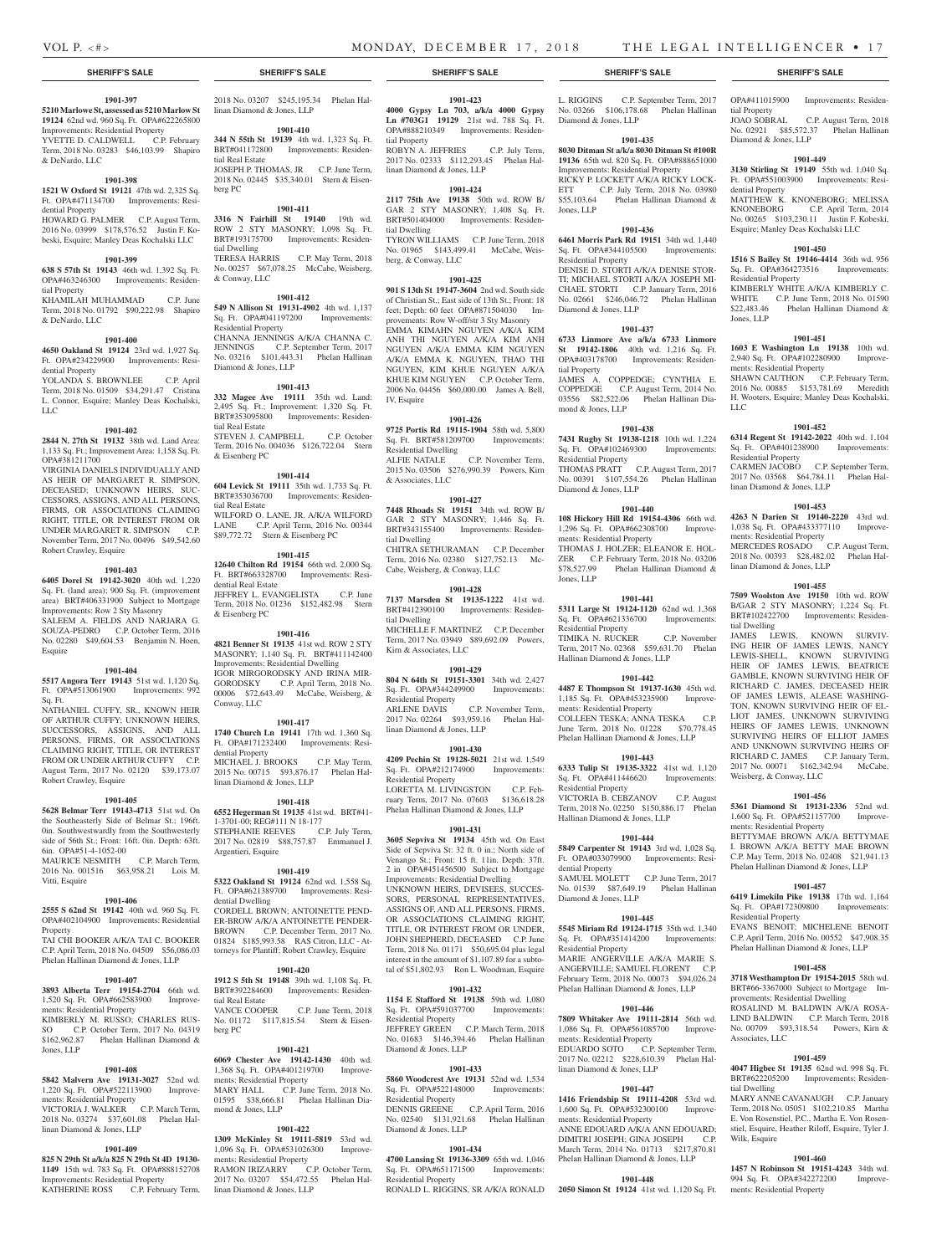# **SHERIFF'S SALE SHERIFF'S SALE SHERIFF'S SALE SHERIFF'S SALE SHERIFF'S SALE**

# **1901-397**

**5210 Marlowe St, assessed as 5210 Marlow St 19124** 62nd wd. 960 Sq. Ft. OPA#622265800 Improvements: Residential Property<br>YVETTE D. CALDWELL C.P. February **THEORY COMMENTS ARESTS AND THE PROPERTY** 

Term, 2018 No. 03283 \$46,103.99 Shapiro & DeNardo, LLC

# **1901-398**

**1521 W Oxford St 19121** 47th wd. 2,325 Sq. Ft. OPA#471134700 Improvements: Residential Property HOWARD G. PALMER C.P. August Term,

2016 No. 03999 \$178,576.52 Justin F. Kobeski, Esquire; Manley Deas Kochalski LLC

#### **1901-399**

**638 S 57th St 19143** 46th wd. 1,392 Sq. Ft. OPA#463246300 Improvements: Residential Property KHAMILAH MUHAMMAD C.P. June Term, 2018 No. 01792 \$90,222.98 Shapiro

& DeNardo, LLC

**1901-400 4650 Oakland St 19124** 23rd wd. 1,927 Sq. Ft. OPA#234229900 Improvements: Resi-

dential Property YOLANDA S. BROWNLEE C.P. April Term, 2018 No. 01509 \$34,291.47 Cristina L. Connor, Esquire; Manley Deas Kochalski, LLC

### **1901-402**

**2844 N. 27th St 19132** 38th wd. Land Area: 1,133 Sq. Ft.; Improvement Area: 1,158 Sq. Ft. OPA#381211700

VIRGINIA DANIELS INDIVIDUALLY AND AS HEIR OF MARGARET R. SIMPSON, DECEASED; UNKNOWN HEIRS, SUC-CESSORS, ASSIGNS, AND ALL PERSONS, FIRMS, OR ASSOCIATIONS CLAIMING RIGHT, TITLE, OR INTEREST FROM OR UNDER MARGARET R. SIMPSON C.P. November Term, 2017 No. 00496 \$49,542.60 Robert Crawley, Esquire

#### **1901-403**

**6405 Dorel St 19142-3020** 40th wd. 1,220 Sq. Ft. (land area); 900 Sq. Ft. (improvement)

area) BRT#406331900 Subject to Mortgage Improvements: Row 2 Sty Masonry SALEEM A. FIELDS AND NARJARA G. SOUZA-PEDRO C.P. October Term, 2016 No. 02280 \$49,604.53 Benjamin N. Hoen,

Esquire

# **1901-404**

**5517 Angora Terr 19143** 51st wd. 1,120 Sq. Ft. OPA#513061900 Improvements: 992 Sq. Ft.

NATHANIEL CUFFY, SR., KNOWN HEIR OF ARTHUR CUFFY; UNKNOWN HEIRS, SUCCESSORS, ASSIGNS, AND ALL PERSONS, FIRMS, OR ASSOCIATIONS CLAIMING RIGHT, TITLE, OR INTEREST FROM OR UNDER ARTHUR CUFFY C.P. August Term, 2017 No. 02120 \$39,173.07 Robert Crawley, Esquire

#### **1901-405**

**5628 Belmar Terr 19143-4713** 51st wd. On the Southeasterly Side of Belmar St.; 196ft. 0in. Southwestwardly from the Southwesterly side of 56th St.; Front: 16ft. 0in. Depth: 63ft. 6in. OPA#51-4-1052-00

MAURICE NESMITH C.P. March Term, 2016 No. 001516 \$63,958.21 Lois M. Vitti, Esquire

# **1901-406**

**2555 S 62nd St 19142** 40th wd. 960 Sq. Ft. OPA#402104900 Improvements: Residential Property TAI CHI BOOKER A/K/A TAI C. BOOKER

C.P. April Term, 2018 No. 04509 \$56,086.03 Phelan Hallinan Diamond & Jones, LLP

# **1901-407**

**3893 Alberta Terr 19154-2704** 66th wd. 1,520 Sq. Ft. OPA#662583900 Improvements: Residential Property

KIMBERLY M. RUSSO; CHARLES RUS-SO C.P. October Term, 2017 No. 04319 \$162,962.87 Phelan Hallinan Diamond & Jones, LLP

#### **1901-408**

**5842 Malvern Ave 19131-3027** 52nd wd. 1,220 Sq. Ft. OPA#522113900 Improvements: Residential Property

VICTORIA J. WALKER C.P. March Term, 2018 No. 03274 \$37,601.08 Phelan Hallinan Diamond & Jones, LLP

# **1901-409**

**825 N 29th St a/k/a 825 N 29th St 4D 19130- 1149** 15th wd. 783 Sq. Ft. OPA#888152708 Improvements: Residential Property KATHERINE ROSS C.P. February Term, 2018 No. 03207 \$245,195.34 Phelan Hallinan Diamond & Jones, LLP

# **1901-410**

**344 N 55th St 19139** 4th wd. 1,323 Sq. Ft. BRT#041172800 Improvements: Residential Real Estate JOSEPH P. THOMAS, JR C.P. June Term, 2018 No. 02445 \$35,340.01 Stern & Eisenberg PC

# **1901-411**

**3316 N Fairhill St 19140** 19th wd. ROW 2 STY MASONRY; 1,098 Sq. Ft. BRT#193175700 Improvements: Residential Dwelling TERESA HARRIS C.P. May Term, 2018 No. 00257 \$67,078.25 McCabe, Weisberg, & Conway, LLC

**1901-412**

**549 N Allison St 19131-4902** 4th wd. 1,137 Sq. Ft. OPA#041197200 Improvements: Residential Property CHANNA JENNINGS A/K/A CHANNA C. JENNINGS C.P. September Term, 2017 No. 03216 \$101,443.31 Phelan Hallinan Diamond & Jones, LLP

# **1901-413**

**332 Magee Ave 19111** 35th wd. Land: 2,495 Sq. Ft.; Improvement: 1,320 Sq. Ft. BRT#353095800 Improvements: Residential Real Estate STEVEN J. CAMPBELL C.P. October Term, 2016 No. 004036 \$126,722.04 Stern & Eisenberg PC

### **1901-414**

**604 Levick St 19111** 35th wd. 1,733 Sq. Ft. BRT#353036700 Improvements: Residential Real Estate WILFORD O. LANE, JR. A/K/A WILFORD LANE C.P. April Term, 2016 No. 00344 \$89,772.72 Stern & Eisenberg PC

# **1901-415**

**12640 Chilton Rd 19154** 66th wd. 2,000 Sq. Ft. BRT#663328700 Improvements: Residential Real Estate JEFFREY L. EVANGELISTA C.P. June Term, 2018 No. 01236 \$152,482.98 Stern & Eisenberg PC

# **1901-416**

**4821 Benner St 19135** 41st wd. ROW 2 STY MASONRY; 1,140 Sq. Ft. BRT#411142400 Improvements: Residential Dwelling IGOR MIRGORODSKY AND IRINA MIR-GORODSKY C.P. April Term, 2018 No. 00006 \$72,643.49 McCabe, Weisberg, & Conway, LLC

#### **1901-417**

**1740 Church Ln 19141** 17th wd. 1,360 Sq. Ft. OPA#171232400 Improvements: Residential Property MICHAEL J. BROOKS C.P. May Term, 2015 No. 00715 \$93,876.17 Phelan Hallinan Diamond & Jones, LLP

**1901-418**

**6552 Hegerman St 19135** 41st wd. BRT#41- 1-3701-00; REG#111 N 18-177 STEPHANIE REEVES C.P. July Term, 2017 No. 02819 \$88,757.87 Emmanuel J. Argentieri, Esquire

# **1901-419**

**5322 Oakland St 19124** 62nd wd. 1,558 Sq. Ft. OPA#621389700 Improvements: Residential Dwelling CORDELL BROWN; ANTOINETTE PEND-ER-BROW A/K/A ANTOINETTE PENDER-<br>BROWN C.P. December Term, 2017 No. C.P. December Term, 2017 No. 01824 \$185,993.58 RAS Citron, LLC - Attorneys for Plantiff; Robert Crawley, Esquire

## **1901-420**

**1912 S 5th St 19148** 39th wd. 1,108 Sq. Ft. BRT#392284600 Improvements: Residential Real Estate VANCE COOPER C.P. June Term, 2018

No. 01172 \$117,815.54 Stern & Eisenberg PC

# **1901-421**

**6069 Chester Ave 19142-1430** 40th wd. 1,368 Sq. Ft. OPA#401219700 Improvements: Residential Property MARY HALL C.P. June Term, 2018 No. 01595 \$38,666.81 Phelan Hallinan Diamond & Jones, LLP

# **1901-422**

**1309 McKinley St 19111-5819** 53rd wd. 1,096 Sq. Ft. OPA#531026300 Improvements: Residential Property RAMON IRIZARRY C.P. October Term, 2017 No. 03207 \$54,472.55 Phelan Hallinan Diamond & Jones, LLP

# **1901-423**

**4000 Gypsy Ln 703, a/k/a 4000 Gypsy Ln #703G1 19129** 21st wd. 788 Sq. Ft. OPA#888210349 Improvements: Residential Property ROBYN A. JEFFRIES C.P. July Term, 2017 No. 02333 \$112,293.45 Phelan Hallinan Diamond & Jones, LLP

**1901-424**

**2117 75th Ave 19138** 50th wd. ROW B/ GAR 2 STY MASONRY; 1,408 Sq. Ft. BRT#501404000 Improvements: Residential Dwelling TYRON WILLIAMS C.P. June Term, 2018

No. 01965 \$143,499.41 McCabe, Weisberg, & Conway, LLC

# **1901-425**

**901 S 13th St 19147-3604** 2nd wd. South side of Christian St.; East side of 13th St.; Front: 18 feet; Depth: 60 feet OPA#871504030 Improvements: Row W-off/str 3 Sty Masonry EMMA KIMAHN NGUYEN A/K/A KIM ANH THI NGUYEN A/K/A KIM ANH NGUYEN A/K/A EMMA KIM NGUYEN A/K/A EMMA K. NGUYEN, THAO THI NGUYEN, KIM KHUE NGUYEN A/K/A KHUE KIM NGUYEN C.P. October Term, 2006 No. 04456 \$60,000.00 James A. Bell, IV, Esquire

#### **1901-426**

**9725 Portis Rd 19115-1904** 58th wd. 5,800 Sq. Ft. BRT#581209700 Improvements: Residential Dwelling ALFIE NATALE C.P. November Term, 2015 No. 03506 \$276,990.39 Powers, Kirn

**1901-427**

& Associates, LLC

**7448 Rhoads St 19151** 34th wd. ROW B/ GAR 2 STY MASONRY; 1,446 Sq. Ft. BRT#343155400 Improvements: Residential Dwelling CHITRA SETHURAMAN C.P. December Term, 2016 No. 02380 \$127,752.13 Mc-Cabe, Weisberg, & Conway, LLC

# **1901-428**

**7137 Marsden St 19135-1222** 41st wd. BRT#412390100 Improvements: Residential Dwelling MICHELLE F. MARTINEZ C.P. December Term, 2017 No. 03949 \$89,692.09 Powers, Kirn & Associates, LLC

# **1901-429**

**804 N 64th St 19151-3301** 34th wd. 2,427 Sq. Ft. OPA#344249900 Improvements: Residential Property ARLENE DAVIS C.P. November Term, 2017 No. 02264 \$93,959.16 Phelan Hal-

linan Diamond & Jones, LLP **1901-430**

**4209 Pechin St 19128-5021** 21st wd. 1,549 Sq. Ft. OPA#212174900 Improvements: Residential Property LORETTA M. LIVINGSTON C.P. February Term, 2017 No. 07603 \$136,618.28 Phelan Hallinan Diamond & Jones, LLP

# **1901-431**

**3605 Sepviva St 19134** 45th wd. On East Side of Sepviva St: 32 ft. 0 in.; North side of Venango St.; Front: 15 ft. 11in. Depth: 37ft. 2 in OPA#451456500 Subject to Mortgage Improvements: Residential Dwelling UNKNOWN HEIRS, DEVISEES, SUCCES-SORS, PERSONAL REPRESENTATIVES, ASSIGNS OF, AND ALL PERSONS, FIRMS, OR ASSOCIATIONS CLAIMING RIGHT TITLE, OR INTEREST FROM OR UNDER. JOHN SHEPHERD, DECEASED C.P. June Term, 2018 No. 01171 \$50,695.04 plus legal interest in the amount of \$1,107.89 for a subtotal of \$51,802.93 Ron L. Woodman, Esquire

# **1901-432**

**1154 E Stafford St 19138** 59th wd. 1,080 Sq. Ft. OPA#591037700 Improvements: Residential Property JEFFREY GREEN C.P. March Term, 2018 No. 01683 \$146,394.46 Phelan Hallinan Diamond & Jones, LLP

# **1901-433**

**5860 Woodcrest Ave 19131** 52nd wd. 1,534 Sq. Ft. OPA#522148000 Improvements: Residential Property DENNIS GREENE C.P. April Term, 2016 No. 02540 \$131,921.68 Phelan Hallinan Diamond & Jones, LLP

#### **1901-434**

**4700 Lansing St 19136-3309** 65th wd. 1,046 Sq. Ft. OPA#651171500 Improvements: Residential Property RONALD L. RIGGINS, SR A/K/A RONALD **2050 Simon St 19124** 41st wd. 1,120 Sq. Ft.

L. RIGGINS C.P. September Term, 2017 No. 03266 \$106,178.68 Phelan Hallinan Diamond & Jones, LLP

OPA#411015900 Improvements: Residen-

No. 02921 \$85,572.37 Phelan Hallinan

**1901-449 3130 Stirling St 19149** 55th wd. 1,040 Sq. Ft. OPA#551003900 Improvements: Resi-

MATTHEW K. KNONEBORG; MELISSA KNONEBORG C.P. April Term, 2014 No. 00265 \$103,230.11 Justin F. Kobeski, Esquire; Manley Deas Kochalski LLC **1901-450 1516 S Bailey St 19146-4414** 36th wd. 956 Sq. Ft. OPA#364273516 Improvements:

KIMBERLY WHITE A/K/A KIMBERLY C. WHITE C.P. June Term, 2018 No. 01590 \$22,483.46 Phelan Hallinan Diamond &

**1901-451 1603 E Washington Ln 19138** 10th wd. 2,940 Sq. Ft. OPA#102280900 Improve-

SHAWN CAUTHON C.P. February Term, 2016 No. 00885 \$153,781.69 Meredith H. Wooters, Esquire; Manley Deas Kochalski,

**1901-452 6314 Regent St 19142-2022** 40th wd. 1,104 Sq. Ft. OPA#401238900 Improvements:

CARMEN JACOBO C.P. September Term, 2017 No. 03568 \$64,784.11 Phelan Hal-

**1901-453 4263 N Darien St 19140-2220** 43rd wd. 1,038 Sq. Ft. OPA#433377110 Improve-

MERCEDES ROSADO C.P. August Term, 2018 No. 00393 \$28,482.02 Phelan Hal-

**1901-455 7509 Woolston Ave 19150** 10th wd. ROW B/GAR 2 STY MASONRY; 1,224 Sq. Ft. BRT#102422700 Improvements: Residen-

JAMES LEWIS, KNOWN SURVIV-ING HEIR OF JAMES LEWIS, NANCY LEWIS-SHELL, KNOWN SURVIVING HEIR OF JAMES LEWIS, BEATRICE GAMBLE, KNOWN SURVIVING HEIR OF RICHARD C. JAMES, DECEASED HEIR OF JAMES LEWIS, ALEASE WASHING-TON, KNOWN SURVIVING HEIR OF EL-LIOT JAMES, UNKNOWN SURVIVING HEIRS OF JAMES LEWIS, UNKNOWN SURVIVING HEIRS OF ELLIOT JAMES AND UNKNOWN SURVIVING HEIRS OF RICHARD C. JAMES C.P. January Term, 2017 No. 00071 \$162,342.94 McCabe,

C.P. August Term, 2018

tial Property

dential Property

Residential Property

ments: Residential Property

Residential Property

linan Diamond & Jones, LLP

ments: Residential Property

linan Diamond & Jones, LLP

Weisberg, & Conway, LLC

ments: Residential Property

Residential Property

Associates, LLC

tial Dwelling

Wilk, Esquire

ments: Residential Property

**1901-456 5361 Diamond St 19131-2336** 52nd wd. 1,600 Sq. Ft. OPA#521157700 Improve-

BETTYMAE BROWN A/K/A BETTYMAE I. BROWN A/K/A BETTY MAE BROWN C.P. May Term, 2018 No. 02408 \$21,941.13 Phelan Hallinan Diamond & Jones, LLP **1901-457 6419 Limekiln Pike 19138** 17th wd. 1,164 Sq. Ft. OPA#172309800 Improvements:

EVANS BENOIT; MICHELENE BENOIT C.P. April Term, 2016 No. 00552 \$47,908.35 Phelan Hallinan Diamond & Jones, LLP **1901-458 3718 Westhampton Dr 19154-2015** 58th wd. BRT#66-3367000 Subject to Mortgage Improvements: Residential Dwelling ROSALIND M. BALDWIN A/K/A ROSA-LIND BALDWIN C.P. March Term, 2018 No. 00709 \$93,318.54 Powers, Kirn &

**1901-459 4047 Higbee St 19135** 62nd wd. 998 Sq. Ft. BRT#622205200 Improvements: Residen-

MARY ANNE CAVANAUGH C.P. January Term, 2018 No. 05051 \$102,210.85 Martha E. Von Rosenstiel, P.C., Martha E. Von Rosenstiel, Esquire, Heather Riloff, Esquire, Tyler J.

**1901-460 1457 N Robinson St 19151-4243** 34th wd. 994 Sq. Ft. OPA#342272200 Improve-

tial Dwelling

Jones, LLP

LLC

Diamond & Jones, LLP

# **1901-435**

**8030 Ditman St a/k/a 8030 Ditman St #100R 19136** 65th wd. 820 Sq. Ft. OPA#888651000 Improvements: Residential Property RICKY P. LOCKETT A/K/A RICKY LOCK-ETT C.P. July Term, 2018 No. 03980 \$55,103.64 Phelan Hallinan Diamond & Jones, LLP

**1901-436**

**6461 Morris Park Rd 19151** 34th wd. 1,440 Sq. Ft. OPA#344105500 Improvements: Residential Property DENISE D. STORTI A/K/A DENISE STOR-TI; MICHAEL STORTI A/K/A JOSEPH MI-CHAEL STORTI C.P. January Term, 2016 No. 02661 \$246,046.72 Phelan Hallinan Diamond & Jones, LLP

#### **1901-437**

**6733 Linmore Ave a/k/a 6733 Linmore St 19142-1806** 40th wd. 1,216 Sq. Ft. OPA#403178700 Improvements: Residential Property JAMES A. COPPEDGE; CYNTHIA E. COPPEDGE C.P. August Term, 2014 No. 03556 \$82,522.06 Phelan Hallinan Diamond & Jones, LLP

**1901-438 7431 Rugby St 19138-1218** 10th wd. 1,224 Sq. Ft. OPA#102469300 Improvements:

THOMAS PRATT C.P. August Term, 2017 No. 00391 \$107,554.26 Phelan Hallinan

**1901-440 108 Hickory Hill Rd 19154-4306** 66th wd. 1,296 Sq. Ft. OPA#662308700 Improve-

THOMAS J. HOLZER; ELEANOR E. HOL-ZER C.P. February Term, 2018 No. 03206 \$78,527.99 Phelan Hallinan Diamond &

**1901-441 5311 Large St 19124-1120** 62nd wd. 1,368 Sq. Ft. OPA#621336700 Improvements:

TIMIKA N. RUCKER C.P. November Term, 2017 No. 02368 \$59,631.70 Phelan

**1901-442 4487 E Thompson St 19137-1630** 45th wd. 1,185 Sq. Ft. OPA#453235900 Improve-

COLLEEN TESKA; ANNA TESKA C.P. June Term, 2018 No. 01228 \$70,778.45 Phelan Hallinan Diamond & Jones, LLP **1901-443 6333 Tulip St 19135-3322** 41st wd. 1,120 Sq. Ft. OPA#411446620 Improvements:

VICTORIA B. CEBZANOV C.P. August Term, 2018 No. 02250 \$150,886.17 Phelan

**1901-444 5849 Carpenter St 19143** 3rd wd. 1,028 Sq. Ft. OPA#033079900 Improvements: Resi-

SAMUEL MOLETT C.P. June Term, 2017 No. 01539 \$87,649.19 Phelan Hallinan

**1901-445 5545 Miriam Rd 19124-1715** 35th wd. 1,340 Sq. Ft. OPA#351414200 Improvements:

MARIE ANGERVILLE A/K/A MARIE S. ANGERVILLE; SAMUEL FLORENT C.P. February Term, 2018 No. 00073 \$94,026.24 Phelan Hallinan Diamond & Jones, LLP **1901-446 7809 Whitaker Ave 19111-2814** 56th wd. 1,086 Sq. Ft. OPA#561085700 Improve-

EDUARDO SOTO C.P. September Term, 2017 No. 02212 \$228,610.39 Phelan Hal-

**1901-447 1416 Friendship St 19111-4208** 53rd wd. 1,600 Sq. Ft. OPA#532300100 Improve-

ANNE EDOUARD A/K/A ANN EDOUARD; DIMITRI JOSEPH; GINA JOSEPH C.P. March Term, 2014 No. 01713 \$217,870.81 Phelan Hallinan Diamond & Jones, LLP **1901-448**

Hallinan Diamond & Jones, LLP

Hallinan Diamond & Jones, LLP

ments: Residential Property

Residential Property

dential Property

Diamond & Jones, LLP

Residential Property

ments: Residential Property

linan Diamond & Jones, LLP

ments: Residential Property

Residential Property

Diamond & Jones, LLP

ments: Residential Property

Jones, LLP

Residential Property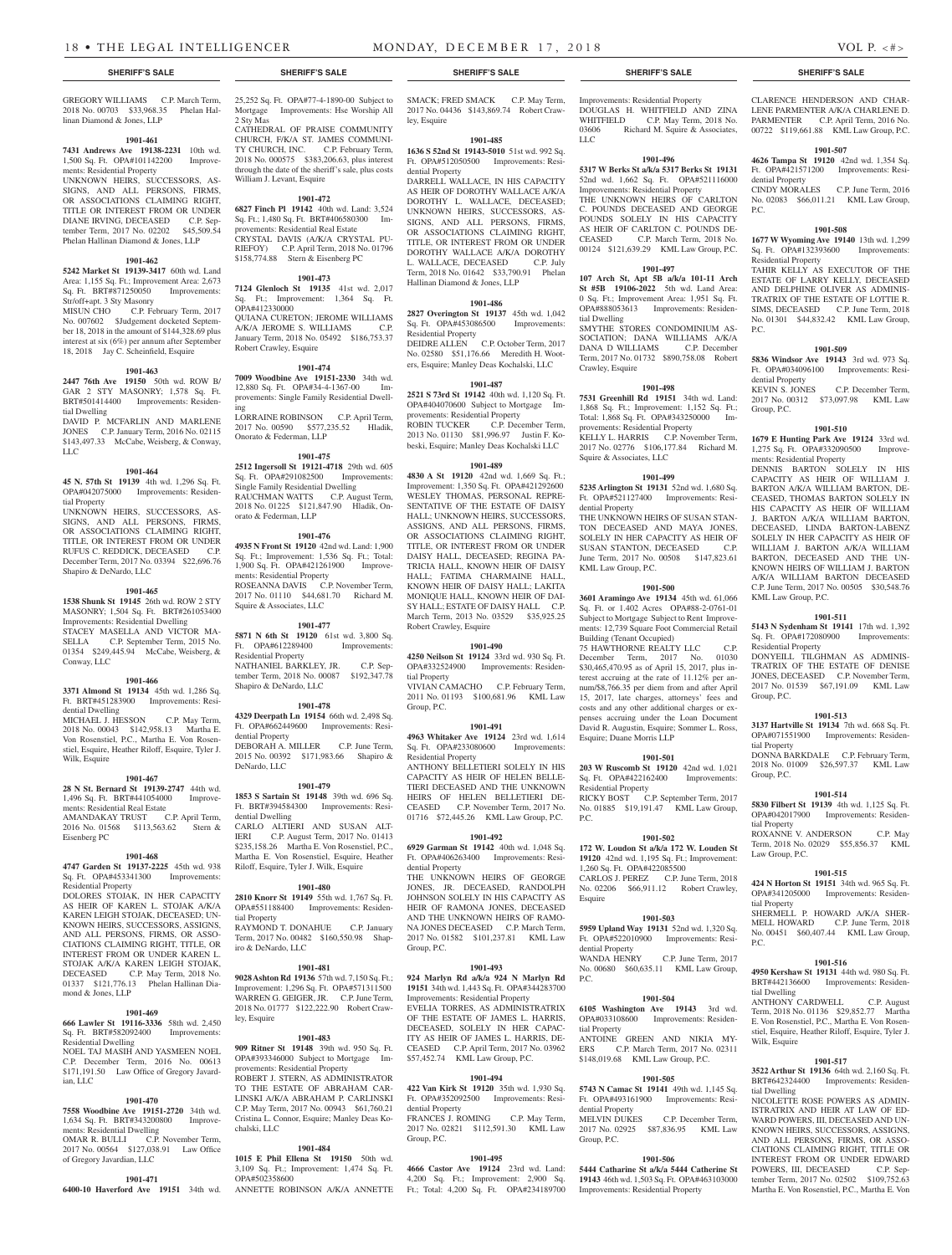25,252 Sq. Ft. OPA#77-4-1890-00 Subject to Mortgage Improvements: Hse Worship All

CATHEDRAL OF PRAISE COMMUNITY CHURCH, F/K/A ST. JAMES COMMUNI-TY CHURCH, INC. C.P. February Term, 2018 No. 000575 \$383,206.63, plus interest through the date of the sheriff's sale, plus costs

**1901-472 6827 Finch Pl 19142** 40th wd. Land: 3,524 Sq. Ft.; 1,480 Sq. Ft. BRT#406580300 Improvements: Residential Real Estate CRYSTAL DAVIS (A/K/A CRYSTAL PU-RIEFOY) C.P. April Term, 2018 No. 01796 \$158,774.88 Stern & Eisenberg PC

**1901-473 7124 Glenloch St 19135** 41st wd. 2,017 Sq. Ft.; Improvement: 1,364 Sq. Ft.

QUIANA CURETON; JEROME WILLIAMS A/K/A JEROME S. WILLIAMS C.P. January Term, 2018 No. 05492 \$186,753.37

**1901-474 7009 Woodbine Ave 19151-2330** 34th wd. 12,880 Sq. Ft. OPA#34-4-1367-00 Improvements: Single Family Residential Dwell-

LORRAINE ROBINSON C.P. April Term, 2017 No. 00590 \$577,235.52 Hladik,

**1901-475 2512 Ingersoll St 19121-4718** 29th wd. 605 Sq. Ft. OPA#291082500 Improvements: Single Family Residential Dwelling RAUCHMAN WATTS C.P. August Term, 2018 No. 01225 \$121,847.90 Hladik, On-

**1901-476 4935 N Front St 19120** 42nd wd. Land: 1,900 Sq. Ft.; Improvement: 1,536 Sq. Ft.; Total: 1,900 Sq. Ft. OPA#421261900 Improve-1,900 Sq. Ft. OPA#421261900 ments: Residential Property

ROSEANNA DAVIS C.P. November Term, 2017 No. 01110 \$44,681.70 Richard M.

**1901-477 5871 N 6th St 19120** 61st wd. 3,800 Sq. Ft. OPA#612289400 Improvements:

NATHANIEL BARKLEY, JR. C.P. September Term, 2018 No. 00087 \$192,347.78

**1901-478 4329 Deerpath Ln 19154** 66th wd. 2,498 Sq. Ft. OPA#662449600 Improvements: Resi-

DEBORAH A. MILLER C.P. June Term, 2015 No. 00392 \$171,983.66 Shapiro &

**1901-479 1853 S Sartain St 19148** 39th wd. 696 Sq. Ft. BRT#394584300 Improvements: Resi-

CARLO ALTIERI AND SUSAN ALTIERI C.P. August Term, 2017 No. 01413 C.P. August Term, 2017 No. 01413 \$235,158.26 Martha E. Von Rosenstiel, P.C., Martha E. Von Rosenstiel, Esquire, Heather Riloff, Esquire, Tyler J. Wilk, Esquire

**1901-480 2810 Knorr St 19149** 55th wd. 1,767 Sq. Ft. OPA#551188400 Improvements: Residen-

RAYMOND T. DONAHUE C.P. January Term, 2017 No. 00482 \$160,550.98 Shap-

**1901-481 9028 Ashton Rd 19136** 57th wd. 7,150 Sq. Ft.; Improvement: 1,296 Sq. Ft. OPA#571311500 WARREN G. GEIGER, JR. C.P. June Term, 2018 No. 01777 \$122,222.90 Robert Craw-

**1901-483 909 Ritner St 19148** 39th wd. 950 Sq. Ft. OPA#393346000 Subject to Mortgage Im-

ROBERT J. STERN, AS ADMINISTRATOR TO THE ESTATE OF ABRAHAM CAR-LINSKI A/K/A ABRAHAM P. CARLINSKI C.P. May Term, 2017 No. 00943 \$61,760.21 Cristina L. Connor, Esquire; Manley Deas Ko-

2 Sty Mas

William J. Levant, Esquire

OPA#412330000

ing

Robert Crawley, Esquire

Onorato & Federman, LLP

orato & Federman, LLP

Squire & Associates, LLC

Residential Property

dential Property

DeNardo, LLC

dential Dwelling

tial Property

ley, Esquire

chalski, LLC

iro & DeNardo, LLC

Shapiro & DeNardo, LLC

GREGORY WILLIAMS C.P. March Term, 2018 No. 00703 \$33,968.35 Phelan Hallinan Diamond & Jones, LLP

# **1901-461**

**7431 Andrews Ave 19138-2231** 10th wd. 1,500 Sq. Ft. OPA#101142200 Improvements: Residential Property

UNKNOWN HEIRS, SUCCESSORS, AS-SIGNS, AND ALL PERSONS, FIRMS, OR ASSOCIATIONS CLAIMING RIGHT TITLE OR INTEREST FROM OR UNDER DIANE IRVING, DECEASED C.P. September Term, 2017 No. 02202 \$45,509.54 Phelan Hallinan Diamond & Jones, LLP

# **1901-462**

**5242 Market St 19139-3417** 60th wd. Land Area: 1,155 Sq. Ft.; Improvement Area: 2,673 Sq. Ft. BRT#871250050 Improvements: Str/off+apt. 3 Sty Masonry

MISUN CHO C.P. February Term, 2017 No. 007602 \$Judgement docketed September 18, 2018 in the amount of \$144,328.69 plus interest at six (6%) per annum after September 18, 2018 Jay C. Scheinfield, Esquire

#### **1901-463**

**2447 76th Ave 19150** 50th wd. ROW B/ GAR 2 STY MASONRY; 1,578 Sq. Ft. BRT#501414400 Improvements: Residential Dwelling DAVID P. MCFARLIN AND MARLENE

JONES C.P. January Term, 2016 No. 02115 \$143,497.33 McCabe, Weisberg, & Conway, LLC

# **1901-464**

**45 N. 57th St 19139** 4th wd. 1,296 Sq. Ft. OPA#042075000 Improvements: Residential Property

UNKNOWN HEIRS, SUCCESSORS, AS-SIGNS, AND ALL PERSONS, FIRMS, OR ASSOCIATIONS CLAIMING RIGHT, TITLE, OR INTEREST FROM OR UNDER RUFUS C. REDDICK, DECEASED C.P. December Term, 2017 No. 03394 \$22,696.76 Shapiro & DeNardo, LLC

#### **1901-465**

**1538 Shunk St 19145** 26th wd. ROW 2 STY MASONRY; 1,504 Sq. Ft. BRT#261053400 Improvements: Residential Dwelling STACEY MASELLA AND VICTOR MASELLA C.P. September Term, 2015 No. C.P. September Term, 2015 No. 01354 \$249,445.94 McCabe, Weisberg, & Conway, LLC

# **1901-466**

**3371 Almond St 19134** 45th wd. 1,286 Sq. Ft. BRT#451283900 Improvements: Residential Dwelling

MICHAEL J. HESSON C.P. May Term, 2018 No. 00043 \$142,958.13 Martha E. Von Rosenstiel, P.C., Martha E. Von Rosenstiel, Esquire, Heather Riloff, Esquire, Tyler J. Wilk, Esquire

#### **1901-467**

**28 N St. Bernard St 19139-2747** 44th wd. 1,496 Sq. Ft. BRT#441054000 Improvements: Residential Real Estate

AMANDAKAY TRUST C.P. April Term, 2016 No. 01568 \$113,563.62 Stern & Eisenberg PC

# **1901-468**

**4747 Garden St 19137-2225** 45th wd. 938 Sq. Ft. OPA#453341300 Improvements: Residential Property DOLORES STOJAK, IN HER CAPACITY AS HEIR OF KAREN L. STOJAK A/K/A KAREN LEIGH STOJAK, DECEASED; UN-KNOWN HEIRS, SUCCESSORS, ASSIGNS, AND ALL PERSONS, FIRMS, OR ASSO-CIATIONS CLAIMING RIGHT, TITLE, OR INTEREST FROM OR UNDER KAREN L. STOJAK A/K/A KAREN LEIGH STOJAK, DECEASED C.P. May Term, 2018 No. 01337 \$121,776.13 Phelan Hallinan Diamond & Jones, LLP

#### **1901-469**

**666 Lawler St 19116-3336** 58th wd. 2,450 Sq. Ft. BRT#582092400 Improvements: Residential Dwelling NOEL TAJ MASIH AND YASMEEN NOEL C.P. December Term, 2016 No. 00613 \$171,191.50 Law Office of Gregory Javardian, LLC

# **1901-470**

of Gregory Javardian, LLC

**7558 Woodbine Ave 19151-2720** 34th wd. 1,634 Sq. Ft. BRT#343200800 Improvements: Residential Dwelling OMAR R. BULLI C.P. November Term, 2017 No. 00564 \$127,038.91 Law Office

**1901-471**

# **1901-484**

provements: Residential Property

**6400-10 Haverford Ave 19151** 34th wd. ANNETTE ROBINSON A/K/A ANNETTE **1015 E Phil Ellena St 19150** 50th wd. 3,109 Sq. Ft.; Improvement: 1,474 Sq. Ft. OPA#502358600

SMACK; FRED SMACK C.P. May Term, 2017 No. 04436 \$143,869.74 Robert Crawley, Esquire

# **1901-485**

**1636 S 52nd St 19143-5010** 51st wd. 992 Sq. Ft. OPA#512050500 Improvements: Residential Property

DARRELL WALLACE, IN HIS CAPACITY AS HEIR OF DOROTHY WALLACE A/K/A DOROTHY L. WALLACE, DECEASED; UNKNOWN HEIRS, SUCCESSORS, AS-SIGNS, AND ALL PERSONS, FIRMS, OR ASSOCIATIONS CLAIMING RIGHT TITLE, OR INTEREST FROM OR UNDER DOROTHY WALLACE A/K/A DOROTHY L. WALLACE, DECEASED C.P. July Term, 2018 No. 01642 \$33,790.91 Phelan Hallinan Diamond & Jones, LLP

# **1901-486**

**2827 Overington St 19137** 45th wd. 1,042 Sq. Ft. OPA#453086500 Improvements: Residential Property

DEIDRE ALLEN C.P. October Term, 2017 No. 02580 \$51,176.66 Meredith H. Wooters, Esquire; Manley Deas Kochalski, LLC

# **1901-487**

**2521 S 73rd St 19142** 40th wd. 1,120 Sq. Ft. OPA#404070600 Subject to Mortgage Improvements: Residential Property ROBIN TUCKER C.P. December Term, 2013 No. 01130 \$81,996.97 Justin F. Kobeski, Esquire; Manley Deas Kochalski LLC

# **1901-489**

**4830 A St 19120** 42nd wd. 1,669 Sq. Ft.; Improvement: 1,350 Sq. Ft. OPA#421292600 WESLEY THOMAS, PERSONAL REPRE-SENTATIVE OF THE ESTATE OF DAISY HALL; UNKNOWN HEIRS, SUCCESSORS, ASSIGNS, AND ALL PERSONS, FIRMS, OR ASSOCIATIONS CLAIMING RIGHT TITLE, OR INTEREST FROM OR UNDER DAISY HALL, DECEASED; REGINA PA-TRICIA HALL, KNOWN HEIR OF DAISY HALL; FATIMA CHARMAINE HALL, KNOWN HEIR OF DAISY HALL; LAKITA MONIQUE HALL, KNOWN HEIR OF DAI-SY HALL; ESTATE OF DAISY HALL C.P. March Term, 2013 No. 03529 \$35,925.25 Robert Crawley, Esquire

# **1901-490**

**4250 Neilson St 19124** 33rd wd. 930 Sq. Ft. OPA#332524900 Improvements: Residential Property

VIVIAN CAMACHO C.P. February Term, 2011 No. 01193 \$100,681.96 KML Law Group, P.C.

# **1901-491**

**4963 Whitaker Ave 19124** 23rd wd. 1,614 Sq. Ft. OPA#233080600 Improvements: Residential Property

ANTHONY BELLETIERI SOLELY IN HIS CAPACITY AS HEIR OF HELEN BELLE-TIERI DECEASED AND THE UNKNOWN HEIRS OF HELEN BELLETIERI DE-CEASED C.P. November Term, 2017 No. 01716 \$72,445.26 KML Law Group, P.C.

# **1901-492**

**6929 Garman St 19142** 40th wd. 1,048 Sq. Ft. OPA#406263400 Improvements: Residential Property

THE UNKNOWN HEIRS OF GEORGE JONES, JR. DECEASED, RANDOLPH JOHNSON SOLELY IN HIS CAPACITY AS HEIR OF RAMONA JONES, DECEASED AND THE UNKNOWN HEIRS OF RAMO-NA JONES DECEASED C.P. March Term, 2017 No. 01582 \$101,237.81 KML Law Group, P.C.

#### **1901-493**

**924 Marlyn Rd a/k/a 924 N Marlyn Rd 19151** 34th wd. 1,443 Sq. Ft. OPA#344283700 Improvements: Residential Property EVELIA TORRES, AS ADMINISTRATRIX OF THE ESTATE OF JAMES L. HARRIS,

DECEASED, SOLELY IN HER CAPAC-ITY AS HEIR OF JAMES L. HARRIS, DE-CEASED C.P. April Term, 2017 No. 03962 \$57,452.74 KML Law Group, P.C.

# **1901-494**

**422 Van Kirk St 19120** 35th wd. 1,930 Sq. Ft. OPA#352092500 Improvements: Residential Property FRANCES J. ROMING C.P. May Term, 2017 No. 02821 \$112,591.30 KML Law

# Group, P.C. **1901-495**

**4666 Castor Ave 19124** 23rd wd. Land: 4,200 Sq. Ft.; Improvement: 2,900 Sq. Ft.; Total: 4,200 Sq. Ft. OPA#234189700

# **SHERIFF'S SALE SHERIFF'S SALE SHERIFF'S SALE SHERIFF'S SALE SHERIFF'S SALE**

Improvements: Residential Property DOUGLAS H. WHITFIELD AND ZINA WHITFIELD C.P. May Term, 2018 No. 03606 Richard M. Squire & Associates, LLC

# **1901-496**

**5317 W Berks St a/k/a 5317 Berks St 19131**  52nd wd. 1,662 Sq. Ft. OPA#521116000 Improvements: Residential Property THE UNKNOWN HEIRS OF CARLTON

C. POUNDS DECEASED AND GEORGE POUNDS SOLELY IN HIS CAPACITY AS HEIR OF CARLTON C. POUNDS DE-CEASED C.P. March Term, 2018 No. 00124 \$121,639.29 KML Law Group, P.C.

# **1901-497**

**107 Arch St, Apt 5B a/k/a 101-11 Arch St #5B 19106-2022** 5th wd. Land Area: 0 Sq. Ft.; Improvement Area: 1,951 Sq. Ft. OPA#888053613 Improvements: Residential Dwelling SMYTHE STORES CONDOMINIUM AS-SOCIATION; DANA WILLIAMS A/K/A DANA D WILLIAMS C.P. December Term, 2017 No. 01732 \$890,758.08 Robert Crawley, Esquire

### **1901-498**

**7531 Greenhill Rd 19151** 34th wd. Land: 1,868 Sq. Ft.; Improvement: 1,152 Sq. Ft.; Total: 1,868 Sq. Ft. OPA#343250000 Improvements: Residential Property KELLY L. HARRIS C.P. November Term, 2017 No. 02776 \$106,177.84 Richard M. Squire & Associates, LLC

#### **1901-499**

**5235 Arlington St 19131** 52nd wd. 1,680 Sq. Ft. OPA#521127400 Improvements: Residential Property THE UNKNOWN HEIRS OF SUSAN STAN-

TON DECEASED AND MAYA JONES, SOLELY IN HER CAPACITY AS HEIR OF SUSAN STANTON, DECEASED C.P. June Term, 2017 No. 00508 \$147,823.61 KML Law Group, P.C.

## **1901-500**

**3601 Aramingo Ave 19134** 45th wd. 61,066 Sq. Ft. or 1.402 Acres OPA#88-2-0761-01 Subject to Mortgage Subject to Rent Improvements: 12,739 Square Foot Commercial Retail Building (Tenant Occupied) 75 HAWTHORNE REALTY LLC C.P. December Term, 2017 No. 01030

\$30,465,470.95 as of April 15, 2017, plus interest accruing at the rate of 11.12% per annum/\$8,766.35 per diem from and after April 15, 2017, late charges, attorneys' fees and costs and any other additional charges or expenses accruing under the Loan Document David R. Augustin, Esquire; Sommer L. Ross, Esquire; Duane Morris LLP

### **1901-501**

**203 W Ruscomb St 19120** 42nd wd. 1,021 Sq. Ft. OPA#422162400 Improvements: Residential Property RICKY BOST C.P. September Term, 2017

No. 01885 \$19,191.47 KML Law Group, P.C.

# **1901-502**

**172 W. Loudon St a/k/a 172 W. Louden St 19120** 42nd wd. 1,195 Sq. Ft.; Improvement: 1,260 Sq. Ft. OPA#422085500 CARLOS J. PEREZ C.P. June Term, 2018 No. 02206 \$66,911.12 Robert Crawley, Esquire

#### **1901-503**

**5959 Upland Way 19131** 52nd wd. 1,320 Sq. Ft. OPA#522010900 Improvements: Residential Property<br>WANDA HENRY

C.P. June Term, 2017 No. 00680 \$60,635.11 KML Law Group, P.C.

# **1901-504**

**6105 Washington Ave 19143** 3rd wd. OPA#033108600 Improvements: Residential Property ANTOINE GREEN AND NIKIA MY-ERS C.P. March Term, 2017 No. 02311 \$148,019.68 KML Law Group, P.C.

#### **1901-505**

**5743 N Camac St 19141** 49th wd. 1,145 Sq. Ft. OPA#493161900 Improvements: Residential Property<br>MELVIN DUKES C.P. December Term, 2017 No. 02925 \$87,836.95 KML Law Group, P.C.

# **1901-506**

**5444 Catharine St a/k/a 5444 Catherine St 19143** 46th wd. 1,503 Sq. Ft. OPA#463103000 Improvements: Residential Property

CLARENCE HENDERSON AND CHAR-LENE PARMENTER A/K/A CHARLENE D. PARMENTER C.P. April Term, 2016 No. 00722 \$119,661.88 KML Law Group, P.C.

# **1901-507**

**4626 Tampa St 19120** 42nd wd. 1,354 Sq. Ft. OPA#421571200 Improvements: Residential Property CINDY MORALES C.P. June Term, 2016 No. 02083 \$66,011.21 KML Law Group,

# **1901-508**

P.C.

**1677 W Wyoming Ave 19140** 13th wd. 1,299 Sq. Ft. OPA#132393600 Improvements: Residential Property

TAHIR KELLY AS EXECUTOR OF THE ESTATE OF LARRY KELLY, DECEASED AND DELPHINE OLIVER AS ADMINIS-TRATRIX OF THE ESTATE OF LOTTIE R. SIMS, DECEASED C.P. June Term, 2018 No. 01301 \$44,832.42 KML Law Group, P.C.

#### **1901-509**

**5836 Windsor Ave 19143** 3rd wd. 973 Sq. Ft. OPA#034096100 Improvements: Residential Property<br>KEVIN S. JONES

C.P. December Term. 2017 No. 00312 \$73,097.98 KML Law Group, P.C.

1,275 Sq. Ft. OPA#332090500 Improve-

DENNIS BARTON SOLELY IN HIS CAPACITY AS HEIR OF WILLIAM J. BARTON A/K/A WILLIAM BARTON, DE-CEASED, THOMAS BARTON SOLELY IN HIS CAPACITY AS HEIR OF WILLIAM J. BARTON A/K/A WILLIAM BARTON, DECEASED, LINDA BARTON-LABENZ SOLELY IN HER CAPACITY AS HEIR OF WILLIAM J. BARTON A/K/A WILLIAM BARTON, DECEASED AND THE UN-KNOWN HEIRS OF WILLIAM J. BARTON A/K/A WILLIAM BARTON DECEASED C.P. June Term, 2017 No. 00505 \$30,548.76

**1901-511 5143 N Sydenham St 19141** 17th wd. 1,392 Sq. Ft. OPA#172080900 Improvements:

DONYEILL TILGHMAN AS ADMINIS-TRATRIX OF THE ESTATE OF DENISE JONES, DECEASED C.P. November Term, 2017 No. 01539 \$67,191.09 KML Law

**1901-513 3137 Hartville St 19134** 7th wd. 668 Sq. Ft. OPA#071551900 Improvements: Residen-

DONNA BARKDALE C.P. February Term, 2018 No. 01009 \$26,597.37 KML Law

**1901-514 5830 Filbert St 19139** 4th wd. 1,125 Sq. Ft. OPA#042017900 Improvements: Residen-

ROXANNE V. ANDERSON C.P. May Term, 2018 No. 02029 \$55,856.37 KML

**1901-515 424 N Horton St 19151** 34th wd. 965 Sq. Ft. OPA#341205000 Improvements: Residen-

SHERMELL P. HOWARD A/K/A SHER-<br>MELL HOWARD C.P. June Term, 2018

No. 00451 \$60,407.44 KML Law Group,

**1901-516 4950 Kershaw St 19131** 44th wd. 980 Sq. Ft. BRT#442136600 Improvements: Residen-

ANTHONY CARDWELL C.P. August Term, 2018 No. 01136 \$29,852.77 Martha E. Von Rosenstiel, P.C., Martha E. Von Rosenstiel, Esquire, Heather Riloff, Esquire, Tyler J.

**1901-517 3522 Arthur St 19136** 64th wd. 2,160 Sq. Ft. BRT#642324400 Improvements: Residen-

NICOLETTE ROSE POWERS AS ADMIN-ISTRATRIX AND HEIR AT LAW OF ED-WARD POWERS, III, DECEASED AND UN-KNOWN HEIRS, SUCCESSORS, ASSIGNS, AND ALL PERSONS, FIRMS, OR ASSO-CIATIONS CLAIMING RIGHT, TITLE OR INTEREST FROM OR UNDER EDWARD POWERS, III, DECEASED C.P. September Term, 2017 No. 02502 \$109,752.63 Martha E. Von Rosenstiel, P.C., Martha E. Von

C.P. June Term, 2018

# **1901-510 1679 E Hunting Park Ave 19124** 33rd wd.

ments: Residential Property

KML Law Group, P.C.

Residential Property

Group, P.C.

tial Property

Group, P.C.

tial Property

tial Property

tial Dwelling

Wilk, Esquire

tial Dwelling

P.C.

Law Group, P.C.